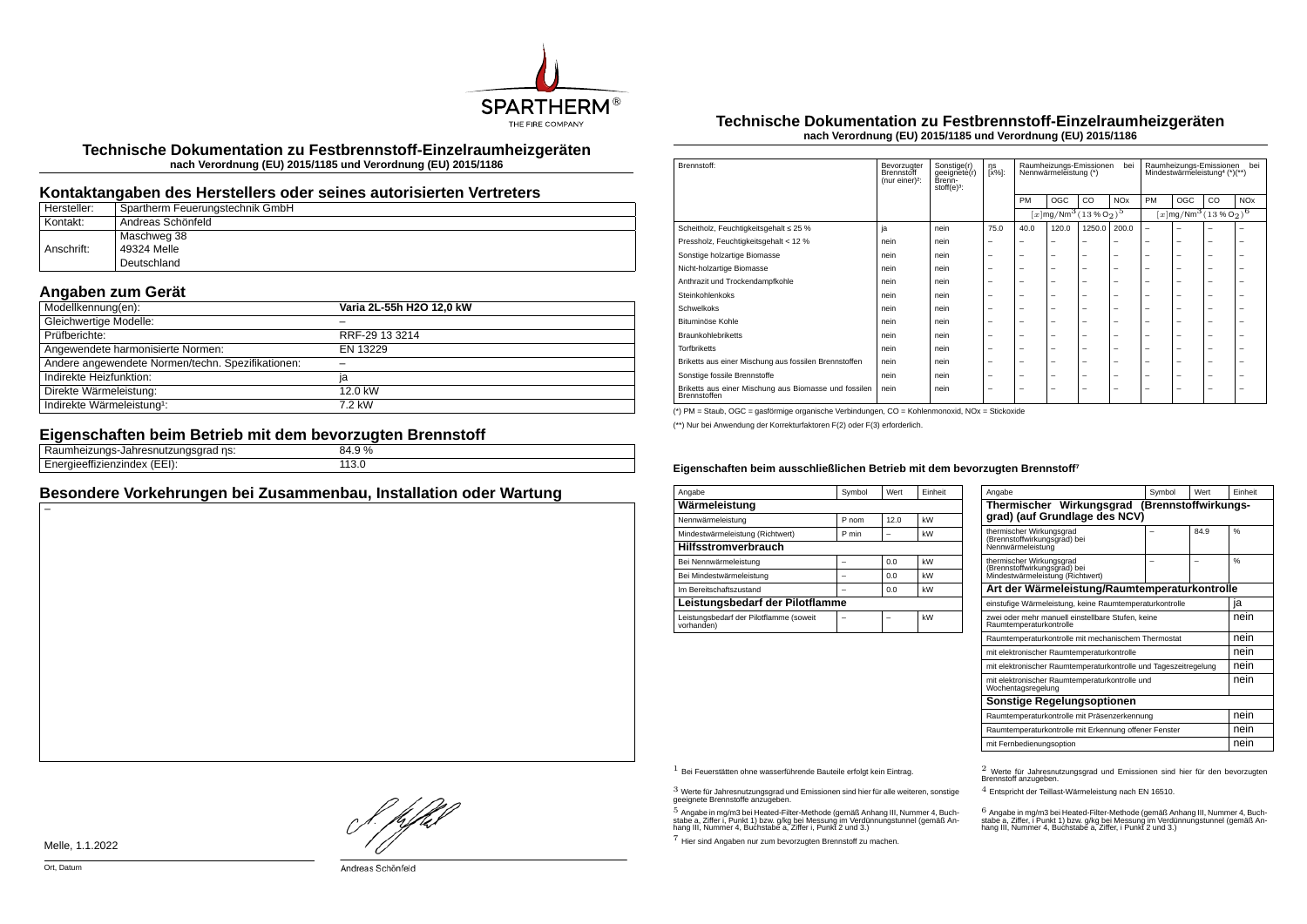

**Technische Dokumentation zu Festbrennstoff-Einzelraumheizgeräten nach Verordnung (EU) 2015/1185 und Verordnung (EU) 2015/1186**

#### **Kontaktangaben des Herstellers oder seines autorisierten Vertreters**

| Hersteller: | Spartherm Feuerungstechnik GmbH |
|-------------|---------------------------------|
| Kontakt:    | Andreas Schönfeld               |
|             | Maschweg 38                     |
| Anschrift:  | 49324 Melle                     |
|             | Deutschland                     |

## **Angaben zum Gerät**

| Modellkennung(en):                                | Varia 2L-55h H2O 12,0 kW |
|---------------------------------------------------|--------------------------|
| Gleichwertige Modelle:                            |                          |
| Prüfberichte:                                     | RRF-29 13 3214           |
| Angewendete harmonisierte Normen:                 | EN 13229                 |
| Andere angewendete Normen/techn. Spezifikationen: |                          |
| Indirekte Heizfunktion:                           | ia                       |
| Direkte Wärmeleistung:                            | 12.0 kW                  |
| Indirekte Wärmeleistung <sup>1</sup> :            | 7.2 kW                   |

## **Eigenschaften beim Betrieb mit dem bevorzugten Brennstoff**

| __<br>.<br>ns:<br>nneizunas<br>adilesnuuzungsyrau m<br>.  | 84.9% |  |
|-----------------------------------------------------------|-------|--|
| <br>- - - - - - - - - - -<br>(EEI):<br>нен<br>∴enzinuex ⊷ | __    |  |
|                                                           |       |  |

### **Besondere Vorkehrungen bei Zusammenbau, Installation oder Wartung**

#### **Technische Dokumentation zu Festbrennstoff-Einzelraumheizgeräten nach Verordnung (EU) 2015/1185 und Verordnung (EU) 2015/1186**

| Brennstoff:                                                           | Bevorzugter<br>Brennstoff<br>(nur einer) <sup>2</sup> : | Sonstige(r)<br>geeignete(r)<br>Brenn-<br>stoff $(e)^3$ : | ηs<br>[x%]: | Raumheizungs-Emissionen<br>bei<br>Nennwärmeleistung (*) |                                                                   |                          | Raumheizungs-Emissionen<br>bei<br>Mindestwärmeleistung <sup>4</sup> (*)(**) |                                               |     |    |                       |
|-----------------------------------------------------------------------|---------------------------------------------------------|----------------------------------------------------------|-------------|---------------------------------------------------------|-------------------------------------------------------------------|--------------------------|-----------------------------------------------------------------------------|-----------------------------------------------|-----|----|-----------------------|
|                                                                       |                                                         |                                                          |             | PM                                                      | OGC                                                               | CO.                      | <b>NO<sub>x</sub></b>                                                       | PM                                            | OGC | CO | <b>NO<sub>x</sub></b> |
|                                                                       |                                                         |                                                          |             |                                                         | $[x \, \text{mg}/\text{Nm}^3 \, (13 \, \text{%} \, \text{O}_2)^5$ |                          |                                                                             | $[x \text{mg}/\text{Nm}^3 \text{ (13 %O2)}^6$ |     |    |                       |
| Scheitholz, Feuchtigkeitsgehalt ≤ 25 %                                | ja                                                      | nein                                                     | 75.0        | 40.0                                                    | 120.0                                                             | 1250.0                   | 200.0                                                                       | $\overline{\phantom{0}}$                      | ۰   |    |                       |
| Pressholz, Feuchtigkeitsgehalt < 12 %                                 | nein                                                    | nein                                                     | -           |                                                         | -                                                                 | -                        |                                                                             |                                               | -   | -  | -                     |
| Sonstige holzartige Biomasse                                          | nein                                                    | nein                                                     | -           | -                                                       | $\overline{\phantom{a}}$                                          | $\overline{\phantom{0}}$ | -                                                                           | -                                             | -   | -  | -                     |
| Nicht-holzartige Biomasse                                             | nein                                                    | nein                                                     | -           | -                                                       | -                                                                 | $\overline{\phantom{0}}$ | -                                                                           | -                                             | -   | -  | -                     |
| Anthrazit und Trockendampfkohle                                       | nein                                                    | nein                                                     | -           | -                                                       | $\overline{\phantom{a}}$                                          | $\overline{\phantom{0}}$ | -                                                                           | -                                             | -   | -  | -                     |
| Steinkohlenkoks                                                       | nein                                                    | nein                                                     | -           | -                                                       | $\overline{\phantom{a}}$                                          | $\overline{\phantom{0}}$ | -                                                                           | -                                             | -   | -  | -                     |
| Schwelkoks                                                            | nein                                                    | nein                                                     | -           | -                                                       | -                                                                 | -                        | -                                                                           | -                                             | -   | -  | ۰                     |
| Bituminöse Kohle                                                      | nein                                                    | nein                                                     | -           | -                                                       | -                                                                 | -                        | -                                                                           | -                                             | -   | -  | -                     |
| <b>Braunkohlebriketts</b>                                             | nein                                                    | nein                                                     | -           | -                                                       | $\overline{\phantom{a}}$                                          | $\overline{\phantom{0}}$ | -                                                                           | -                                             | -   | -  | -                     |
| <b>Torfbriketts</b>                                                   | nein                                                    | nein                                                     | -           | -                                                       | $\overline{\phantom{a}}$                                          | $\overline{\phantom{0}}$ | -                                                                           | -                                             | -   | -  | -                     |
| Briketts aus einer Mischung aus fossilen Brennstoffen                 | nein                                                    | nein                                                     | -           | -                                                       | $\overline{\phantom{a}}$                                          | $\overline{\phantom{0}}$ | -                                                                           | -                                             | -   | -  | -                     |
| Sonstige fossile Brennstoffe                                          | nein                                                    | nein                                                     | -           | -                                                       | $\overline{\phantom{a}}$                                          | $\overline{\phantom{0}}$ | -                                                                           | -                                             | -   | -  | -                     |
| Briketts aus einer Mischung aus Biomasse und fossilen<br>Brennstoffen | nein                                                    | nein                                                     | -           | -                                                       | -                                                                 | -                        | -                                                                           | -                                             | -   | -  | -                     |

(\*) PM = Staub, OGC = gasförmige organische Verbindungen, CO = Kohlenmonoxid, NOx = Stickoxide

(\*\*) Nur bei Anwendung der Korrekturfaktoren F(2) oder F(3) erforderlich.

#### Eigenschaften beim ausschließlichen Betrieb mit dem bevorzugten Brennstoff<sup>7</sup>

| Angabe                                                | Symbol | Wert | Finheit |  |  |  |  |
|-------------------------------------------------------|--------|------|---------|--|--|--|--|
| Wärmeleistung                                         |        |      |         |  |  |  |  |
| Nennwärmeleistung                                     | P nom  | 12.0 | kW      |  |  |  |  |
| Mindestwärmeleistung (Richtwert)                      | P min  |      | kW      |  |  |  |  |
| <b>Hilfsstromverbrauch</b>                            |        |      |         |  |  |  |  |
| Bei Nennwärmeleistung                                 |        | 0.0  | kW      |  |  |  |  |
| Bei Mindestwärmeleistung                              |        | 0.0  | kW      |  |  |  |  |
| Im Bereitschaftszustand                               |        | 0.0  | kW      |  |  |  |  |
| Leistungsbedarf der Pilotflamme                       |        |      |         |  |  |  |  |
| Leistungsbedarf der Pilotflamme (soweit<br>vorhanden) |        |      | kW      |  |  |  |  |

| Angabe                                                                                       | Symbol | <b>Wert</b> | Finheit       |  |  |  |
|----------------------------------------------------------------------------------------------|--------|-------------|---------------|--|--|--|
| Thermischer Wirkungsgrad (Brennstoffwirkungs-<br>grad) (auf Grundlage des NCV)               |        |             |               |  |  |  |
| thermischer Wirkungsgrad<br>(Brennstoffwirkungsgrad) bei<br>Nennwärmeleistung                |        | 84.9        | %             |  |  |  |
| thermischer Wirkungsgrad<br>(Brennstoffwirkungsgräd) bei<br>Mindestwärmeleistung (Richtwert) |        |             | $\frac{9}{6}$ |  |  |  |
| Art der Wärmeleistung/Raumtemperaturkontrolle                                                |        |             |               |  |  |  |
| einstufige Wärmeleistung, keine Raumtemperaturkontrolle                                      |        |             | ja            |  |  |  |
| zwei oder mehr manuell einstellbare Stufen, keine<br>Raumtemperaturkontrolle                 |        |             |               |  |  |  |
| Raumtemperaturkontrolle mit mechanischem Thermostat                                          |        |             | nein          |  |  |  |
| mit elektronischer Raumtemperaturkontrolle                                                   |        |             | nein          |  |  |  |
| mit elektronischer Raumtemperaturkontrolle und Tageszeitregelung                             |        |             | nein          |  |  |  |
| mit elektronischer Raumtemperaturkontrolle und<br>Wochentagsregelung                         |        |             | nein          |  |  |  |
| Sonstige Regelungsoptionen                                                                   |        |             |               |  |  |  |
| Raumtemperaturkontrolle mit Präsenzerkennung                                                 | nein   |             |               |  |  |  |
| Raumtemperaturkontrolle mit Erkennung offener Fenster                                        | nein   |             |               |  |  |  |
| mit Fernbedienungsoption                                                                     |        |             | nein          |  |  |  |

 $3$  Werte für Jahresnutzungsgrad und Emissionen sind hier für alle weiteren, sonstige geeignete Brennstoffe anzugeben.

 $5$  Angabe in mg/m3 bei Heated-Filter-Methode (gemäß Anhang III, Nummer 4, Buchstabe a, Ziffer i, Punkt 1) bzw. g/kg bei Messung im Verdünnungstunnel (gemäß An-hang III, Nummer 4, Buchstabe a, Ziffer i, Punkt 2 und 3.)

7 Hier sind Angaben nur zum bevorzugten Brennstoff zu machen.

1 Bei Feuerstätten ohne wasserführende Bauteile erfolgt kein Eintrag. 2 Werte für Jahresnutzungsgrad und Emissionen sind hier für den bevorzugten Brennstoff anzugeben.

4 Entspricht der Teillast-Wärmeleistung nach EN 16510.

.<br>stabe a, Ziffer, i Punkt 1) bzw. g/kg bei Messung im Verdünnungstunnel (gemäß An-<br>hang III, Nummer 4, Buchstabe a, Ziffer, i Punkt 2 und 3.)<br>hang III, Nummer 4, Buchstabe a, Ziffer, i Punkt 2 und 3.)

Melle, 1.1.2022

}. pfbH

Andreas Schönfeld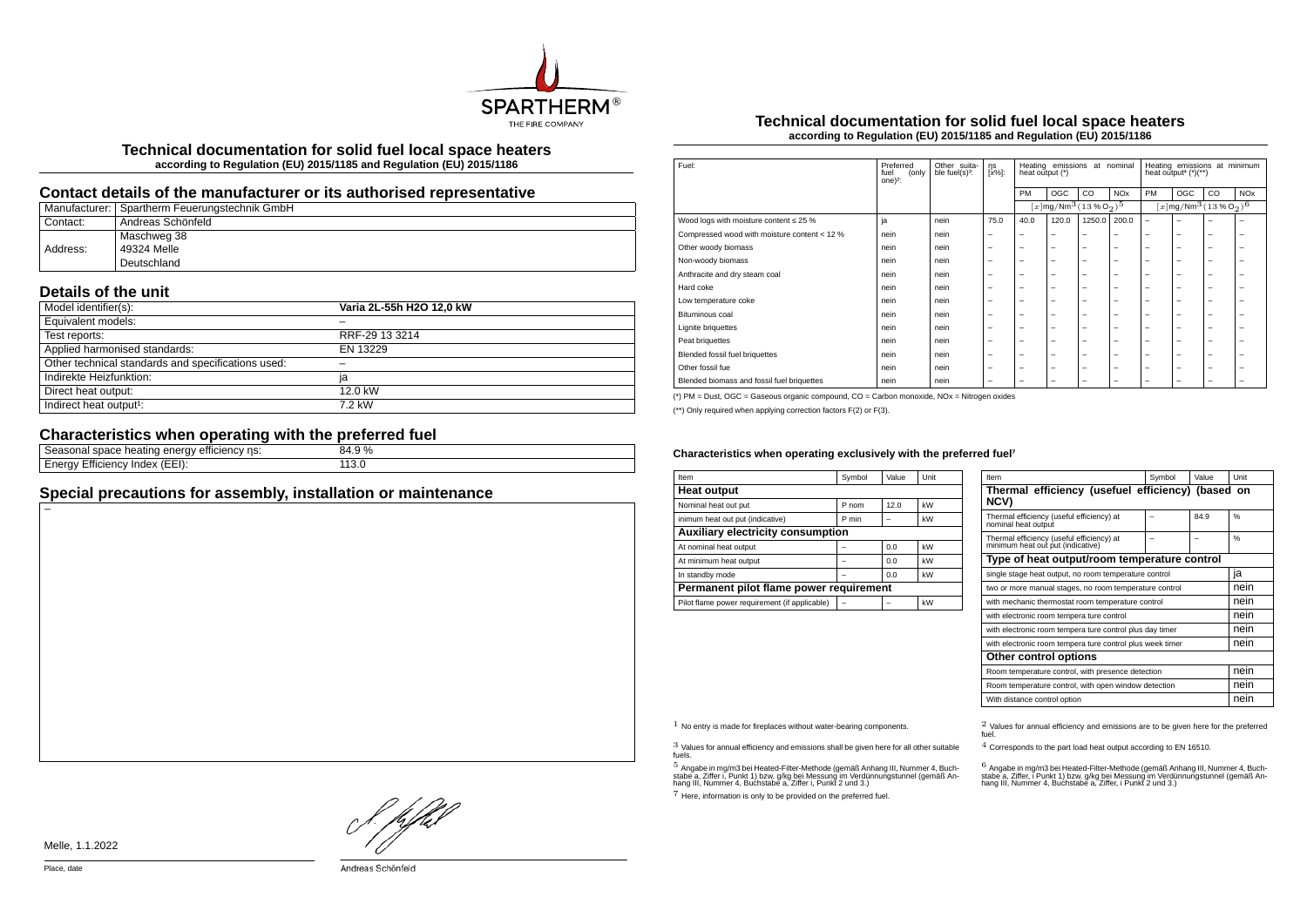

**Technical documentation for solid fuel local space heaters according to Regulation (EU) 2015/1185 and Regulation (EU) 2015/1186**

### **Contact details of the manufacturer or its authorised representative**

|          | Manufacturer:   Spartherm Feuerungstechnik GmbH |
|----------|-------------------------------------------------|
| Contact: | <sup>i</sup> Andreas Schönfeld                  |
|          | Maschweg 38                                     |
| Address: | 49324 Melle                                     |
|          | Deutschland                                     |

# **Details of the unit**

| Model identifier(s):                               | Varia 2L-55h H2O 12.0 kW |
|----------------------------------------------------|--------------------------|
| Equivalent models:                                 |                          |
| Test reports:                                      | RRF-29 13 3214           |
| Applied harmonised standards:                      | EN 13229                 |
| Other technical standards and specifications used: |                          |
| Indirekte Heizfunktion:                            | la                       |
| Direct heat output:                                | 12.0 kW                  |
| Indirect heat output <sup>1</sup> :                | 7.2 kW                   |

# **Characteristics when operating with the preferred fuel**

| ns:<br>emcienc.<br>,,,,<br>-11P'<br>e neating<br>suaut<br>. клітан<br>- | $\frac{0}{0}$<br>O4.Y |
|-------------------------------------------------------------------------|-----------------------|
| $\sqrt{2}$<br>(EEI)<br>- 1110.<br>™ue⊼<br>rov<br>nenc<br>⊢ne<br>$-$     | ____                  |
|                                                                         |                       |

## **Special precautions for assembly, installation or maintenance**

#### **Technical documentation for solid fuel local space heaters according to Regulation (EU) 2015/1185 and Regulation (EU) 2015/1186**

| Fuel:                                        | Preferred<br>(only<br>fuel<br>one $)^2$ : | Other suita-<br>ble fuel(s) <sup>3</sup> : | ηs<br>[x%]:              | Heating emissions<br>at nominal<br>heat output (*) |                                                   |                          | Heating emissions at minimum<br>heat output <sup>4</sup> $(*)$ (**) |                                                              |     |    |                       |
|----------------------------------------------|-------------------------------------------|--------------------------------------------|--------------------------|----------------------------------------------------|---------------------------------------------------|--------------------------|---------------------------------------------------------------------|--------------------------------------------------------------|-----|----|-----------------------|
|                                              |                                           |                                            |                          | PM                                                 | OGC                                               | CO                       | <b>NOx</b>                                                          | PM                                                           | OGC | CO | <b>NO<sub>x</sub></b> |
|                                              |                                           |                                            |                          |                                                    | $[x \, \text{mg}/\text{Nm}^3 \, \text{(13%02)}^5$ |                          |                                                                     | $[x]$ mg/Nm <sup>3</sup> (13 % O <sub>2</sub> ) <sup>6</sup> |     |    |                       |
| Wood logs with moisture content $\leq 25$ %  | ja                                        | nein                                       | 75.0                     | 40.0                                               | 120.0                                             | 1250.0                   | 200.0                                                               | $\overline{\phantom{m}}$                                     | -   | -  | -                     |
| Compressed wood with moisture content < 12 % | nein                                      | nein                                       |                          | -                                                  | $\overline{\phantom{0}}$                          | $\overline{\phantom{0}}$ | $\overline{\phantom{0}}$                                            | $\overline{\phantom{0}}$                                     | -   | -  | -                     |
| Other woody biomass                          | nein                                      | nein                                       | -                        | -                                                  | -                                                 | $\overline{\phantom{0}}$ | $\overline{\phantom{0}}$                                            | $\overline{\phantom{0}}$                                     | -   | -  | -                     |
| Non-woody biomass                            | nein                                      | nein                                       | -                        | -                                                  | -                                                 | $\overline{\phantom{0}}$ | $\overline{\phantom{0}}$                                            | $\overline{\phantom{0}}$                                     | -   | -  | -                     |
| Anthracite and dry steam coal                | nein                                      | nein                                       |                          | $\overline{\phantom{0}}$                           | $\overline{\phantom{0}}$                          | $\overline{\phantom{m}}$ | $\overline{\phantom{m}}$                                            | $\overline{\phantom{0}}$                                     | -   | -  | -                     |
| Hard coke                                    | nein                                      | nein                                       | -                        | -                                                  | -                                                 | -                        | $\overline{\phantom{0}}$                                            | $\overline{\phantom{0}}$                                     | -   | -  | ۰                     |
| Low temperature coke                         | nein                                      | nein                                       | -                        | -                                                  | -                                                 | -                        | $\overline{\phantom{0}}$                                            | $\overline{\phantom{0}}$                                     | -   | -  | -                     |
| Bituminous coal                              | nein                                      | nein                                       | -                        | -                                                  | -                                                 | -                        | $\overline{\phantom{0}}$                                            | $\overline{\phantom{0}}$                                     | -   | -  | -                     |
| <b>Lignite briquettes</b>                    | nein                                      | nein                                       | -                        | -                                                  | -                                                 | -                        | $\overline{\phantom{0}}$                                            | $\overline{\phantom{0}}$                                     | -   | -  | -                     |
| Peat briquettes                              | nein                                      | nein                                       | -                        | -                                                  | -                                                 | -                        | $\overline{\phantom{0}}$                                            | $\overline{\phantom{0}}$                                     | -   | -  | -                     |
| Blended fossil fuel briquettes               | nein                                      | nein                                       |                          | -                                                  | $\overline{\phantom{0}}$                          | $\overline{\phantom{m}}$ | $\overline{\phantom{m}}$                                            | $\overline{\phantom{0}}$                                     | -   | -  | -                     |
| Other fossil fue                             | nein                                      | nein                                       | -                        | -                                                  | -                                                 | $\overline{\phantom{0}}$ | $\overline{\phantom{0}}$                                            | $\overline{\phantom{0}}$                                     | -   | -  | -                     |
| Blended biomass and fossil fuel briquettes   | nein                                      | nein                                       | $\overline{\phantom{0}}$ | -                                                  | -                                                 | -                        | $\overline{\phantom{0}}$                                            | $\overline{\phantom{0}}$                                     | -   | -  | -                     |

(\*) PM = Dust, OGC = Gaseous organic compound, CO = Carbon monoxide, NOx = Nitrogen oxides

(\*\*) Only required when applying correction factors F(2) or F(3).

#### Characteristics when operating exclusively with the preferred fuel<sup>7</sup>

| Item                                          | Symbol | Value | Unit |  |  |  |
|-----------------------------------------------|--------|-------|------|--|--|--|
| <b>Heat output</b>                            |        |       |      |  |  |  |
| Nominal heat out put                          | P nom  | 12.0  | kW   |  |  |  |
| inimum heat out put (indicative)              | P min  |       | kW   |  |  |  |
| Auxiliary electricity consumption             |        |       |      |  |  |  |
| At nominal heat output                        |        | 0.0   | kW   |  |  |  |
| At minimum heat output                        |        | 0.0   | kW   |  |  |  |
| In standby mode                               |        | 0.0   | kW   |  |  |  |
| Permanent pilot flame power requirement       |        |       |      |  |  |  |
| Pilot flame power requirement (if applicable) |        |       | kW   |  |  |  |

| Item                                                                           | Symbol                                                   | Value | Unit          |  |  |  |
|--------------------------------------------------------------------------------|----------------------------------------------------------|-------|---------------|--|--|--|
| Thermal efficiency (usefuel efficiency) (based on<br>NCV)                      |                                                          |       |               |  |  |  |
| Thermal efficiency (useful efficiency) at<br>nominal heat output               |                                                          | 84.9  | $\frac{0}{6}$ |  |  |  |
| Thermal efficiency (useful efficiency) at<br>minimum heat out put (indicative) |                                                          |       | $\frac{0}{6}$ |  |  |  |
| Type of heat output/room temperature control                                   |                                                          |       |               |  |  |  |
| single stage heat output, no room temperature control                          |                                                          |       | ia            |  |  |  |
| two or more manual stages, no room temperature control                         | nein                                                     |       |               |  |  |  |
| with mechanic thermostat room temperature control                              | nein                                                     |       |               |  |  |  |
| with electronic room tempera ture control                                      |                                                          |       | nein          |  |  |  |
|                                                                                | with electronic room tempera ture control plus day timer |       |               |  |  |  |
| with electronic room tempera ture control plus week timer                      | nein                                                     |       |               |  |  |  |
| Other control options                                                          |                                                          |       |               |  |  |  |
| Room temperature control, with presence detection                              | nein                                                     |       |               |  |  |  |
| Room temperature control, with open window detection                           | nein                                                     |       |               |  |  |  |
| With distance control option                                                   |                                                          |       | nein          |  |  |  |

3 Values for annual efficiency and emissions shall be given here for all other suitable fuels.

.<br>5 Angabe a, Ziffer i, Punkt 1) bzw. g/kg bei Messung im Verdünnungstunnel (gemäß An-<br>hang III, Nummer 4, Buchstabe a, Ziffer i, Punkt 2 und 3.)<br>hang III, Nummer 4, Buchstabe a, Ziffer i, Punkt 2 und 3.)

7 Here, information is only to be provided on the preferred fuel.

 $1$  No entry is made for fireplaces without water-bearing components.  $2$  Values for annual efficiency and emissions are to be given here for the preferred fuel.

4 Corresponds to the part load heat output according to EN 16510.

.<br>stabe a, Ziffer, i Punkt 1) bzw. g/kg bei Messung im Verdünnungstunner 4, Buch-<br>hang III, Nummer 4, Buchstabe a, Ziffer, i Punkt 2 und 3.)<br>hang III, Nummer 4, Buchstabe a, Ziffer, i Punkt 2 und 3.)

L pfhil

Melle, 1.1.2022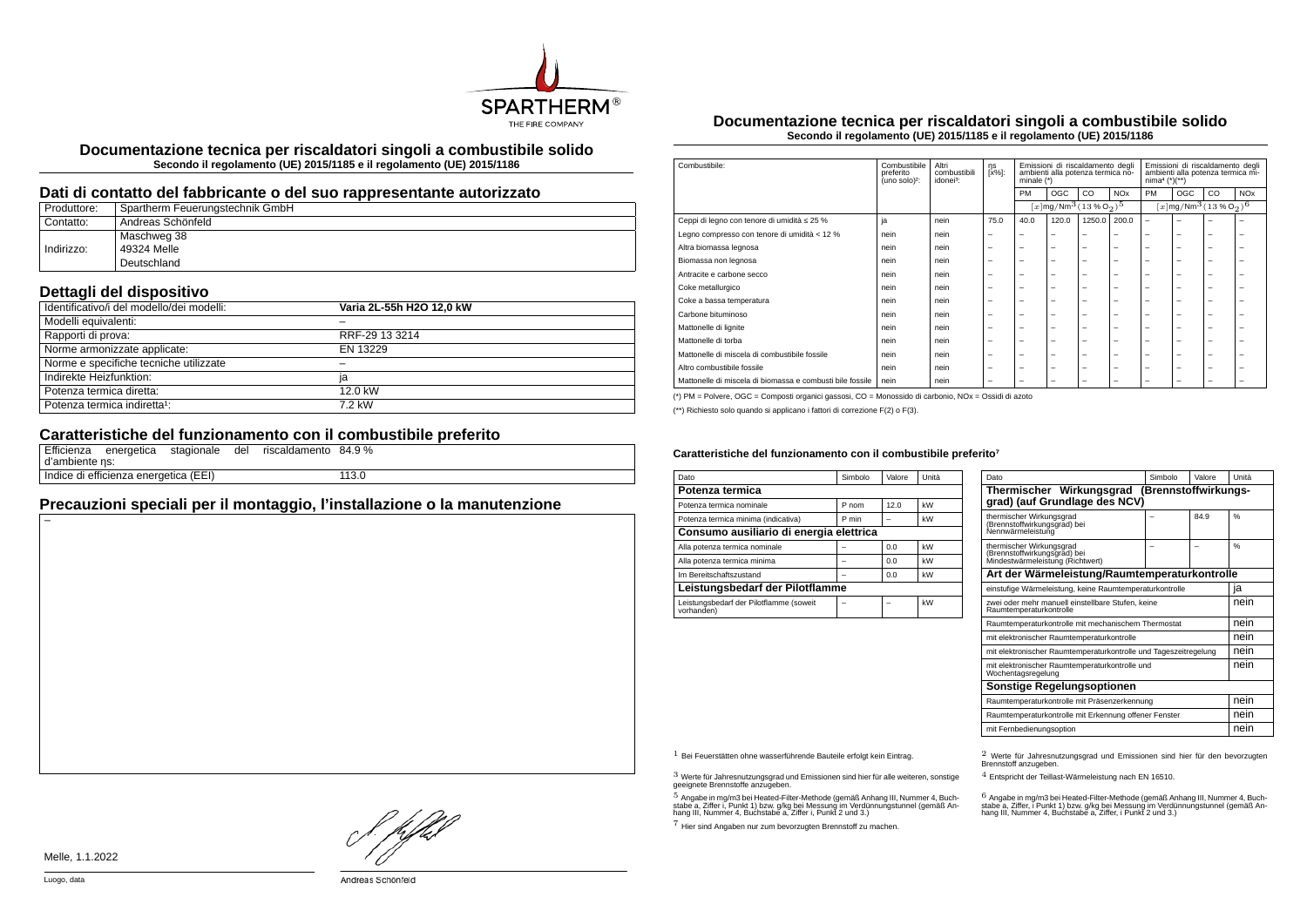

**Documentazione tecnica per riscaldatori singoli a combustibile solido Secondo il regolamento (UE) 2015/1185 e il regolamento (UE) 2015/1186**

#### **Dati di contatto del fabbricante o del suo rappresentante autorizzato**

| Produttore: | Spartherm Feuerungstechnik GmbH |
|-------------|---------------------------------|
| Contatto:   | Andreas Schönfeld               |
|             | Maschweg 38                     |
| Indirizzo:  | 49324 Melle                     |
|             | Deutschland                     |

### **Dettagli del dispositivo**

| Identificativo/i del modello/dei modelli: | Varia 2L-55h H2O 12.0 kW |
|-------------------------------------------|--------------------------|
|                                           |                          |
| Modelli equivalenti:                      |                          |
| Rapporti di prova:                        | RRF-29 13 3214           |
| Norme armonizzate applicate:              | EN 13229                 |
| Norme e specifiche tecniche utilizzate    |                          |
| Indirekte Heizfunktion:                   | ia                       |
| Potenza termica diretta:                  | $12.0 \text{ kW}$        |
| Potenza termica indiretta <sup>1</sup> :  | 7.2 kW                   |

## **Caratteristiche del funzionamento con il combustibile preferito**

|                | Efficienza energetica stagionale      | del | riscaldamento 84.9 % |       |  |
|----------------|---------------------------------------|-----|----------------------|-------|--|
| d'ambiente ns: |                                       |     |                      |       |  |
|                | Indice di efficienza energetica (EEI) |     |                      | 113.0 |  |

# **Precauzioni speciali per il montaggio, l'installazione o la manutenzione**

**Documentazione tecnica per riscaldatori singoli a combustibile solido Secondo il regolamento (UE) 2015/1185 e il regolamento (UE) 2015/1186**

| Combustibile<br>preferito<br>(uno solo) <sup>2</sup> :    | Altri<br>combustibili<br>idonei <sup>3</sup> : | ηs<br>[x%]:              | Emissioni di riscaldamento degli<br>ambienti alla potenza termica no-<br>minale $(*)$ |                          | Emissioni di riscaldamento degli<br>ambienti alla potenza termica mi-<br>$nima4 (*)(**)$ |                       |                                                                 |                          |    |                                                            |
|-----------------------------------------------------------|------------------------------------------------|--------------------------|---------------------------------------------------------------------------------------|--------------------------|------------------------------------------------------------------------------------------|-----------------------|-----------------------------------------------------------------|--------------------------|----|------------------------------------------------------------|
|                                                           |                                                |                          | <b>PM</b>                                                                             | <b>OGC</b>               | CO                                                                                       | <b>NO<sub>x</sub></b> | <b>PM</b>                                                       | OGC                      | CO | <b>NO<sub>x</sub></b>                                      |
|                                                           |                                                |                          |                                                                                       |                          |                                                                                          |                       |                                                                 |                          |    |                                                            |
| ja                                                        | nein                                           | 75.0                     | 40.0                                                                                  | 120.0                    |                                                                                          | 200.0                 | $\overline{\phantom{0}}$                                        | $\overline{\phantom{0}}$ | -  |                                                            |
| nein                                                      | nein                                           | $\overline{\phantom{m}}$ | -                                                                                     | $\overline{\phantom{a}}$ | -                                                                                        | -                     | -                                                               | $\overline{\phantom{0}}$ | -  |                                                            |
| nein                                                      | nein                                           | $\overline{\phantom{0}}$ | $\overline{\phantom{0}}$                                                              | $\overline{\phantom{a}}$ | -                                                                                        | -                     | -                                                               | $\overline{\phantom{0}}$ | -  |                                                            |
| nein                                                      | nein                                           | $\overline{\phantom{0}}$ | $\overline{\phantom{0}}$                                                              | $\overline{\phantom{a}}$ | -                                                                                        | -                     | -                                                               | -                        | -  | -                                                          |
| nein                                                      | nein                                           | $\overline{\phantom{0}}$ | $\overline{\phantom{0}}$                                                              | $\overline{\phantom{a}}$ | -                                                                                        | -                     | $\overline{\phantom{a}}$                                        | $\overline{\phantom{0}}$ | -  |                                                            |
| nein                                                      | nein                                           | $\overline{\phantom{0}}$ | $\overline{\phantom{0}}$                                                              | $\overline{\phantom{0}}$ | -                                                                                        | -                     | $\overline{\phantom{a}}$                                        | -                        | -  | -                                                          |
| nein                                                      | nein                                           | $\overline{\phantom{0}}$ | $\overline{\phantom{0}}$                                                              | $\overline{\phantom{0}}$ | -                                                                                        | -                     | $\overline{\phantom{0}}$                                        | $\overline{\phantom{0}}$ | -  |                                                            |
| nein                                                      | nein                                           | $\overline{\phantom{0}}$ | $\overline{\phantom{0}}$                                                              | $\overline{\phantom{a}}$ | -                                                                                        | -                     | -                                                               | $\overline{\phantom{0}}$ | -  |                                                            |
| nein                                                      | nein                                           | $\overline{\phantom{0}}$ | $\overline{\phantom{0}}$                                                              | $\overline{\phantom{a}}$ | -                                                                                        | -                     | -                                                               | -                        | -  |                                                            |
| nein                                                      | nein                                           | $\overline{\phantom{0}}$ | $\overline{\phantom{0}}$                                                              | $\overline{\phantom{0}}$ | -                                                                                        | -                     | $\overline{\phantom{a}}$                                        | $\overline{\phantom{0}}$ | -  | -                                                          |
| nein                                                      | nein                                           | $\overline{\phantom{0}}$ | $\overline{\phantom{0}}$                                                              | $\overline{\phantom{0}}$ | -                                                                                        | -                     | $\overline{\phantom{a}}$                                        | $\overline{\phantom{0}}$ | -  |                                                            |
| nein                                                      | nein                                           | $\overline{\phantom{0}}$ | $\overline{\phantom{0}}$                                                              | $\overline{\phantom{a}}$ | -                                                                                        | -                     | -                                                               | -                        | -  |                                                            |
| nein                                                      | nein                                           | -                        | -                                                                                     | -                        | -                                                                                        | -                     | -                                                               | -                        | -  |                                                            |
| Mattonelle di miscela di biomassa e combusti bile fossile |                                                |                          |                                                                                       |                          |                                                                                          |                       | $[x \, \text{mg}/\text{Nm}^3 (13\,\%\,\text{O}_2)^5]$<br>1250.0 |                          |    | $[x \, \text{mg}/\text{Nm}^3 \, (13 \, \%\, \text{O}_2)^6$ |

(\*) PM = Polvere, OGC = Composti organici gassosi, CO = Monossido di carbonio, NOx = Ossidi di azoto

(\*\*) Richiesto solo quando si applicano i fattori di correzione F(2) o F(3).

#### Caratteristiche del funzionamento con il combustibile preferito<sup>7</sup>

| Dato                                                  | Simbolo | Valore | Unità |  |  |
|-------------------------------------------------------|---------|--------|-------|--|--|
| Potenza termica                                       |         |        |       |  |  |
| Potenza termica nominale                              | P nom   | 12.0   | kW    |  |  |
| Potenza termica minima (indicativa)                   | P min   |        | kW    |  |  |
| Consumo ausiliario di energia elettrica               |         |        |       |  |  |
| Alla potenza termica nominale                         |         | 0.0    | kW    |  |  |
| Alla potenza termica minima                           |         | 0.0    | kW    |  |  |
| Im Bereitschaftszustand                               |         | 0.0    | kW    |  |  |
| Leistungsbedarf der Pilotflamme                       |         |        |       |  |  |
| Leistungsbedarf der Pilotflamme (soweit<br>vorhanden) |         |        | kW    |  |  |

| Dato                                                                                         | Simbolo | Valore | Unità |  |  |  |
|----------------------------------------------------------------------------------------------|---------|--------|-------|--|--|--|
| Thermischer Wirkungsgrad<br>(Brennstoffwirkungs-<br>grad) (auf Grundlage des NCV)            |         |        |       |  |  |  |
| thermischer Wirkungsgrad<br>(Brennstoffwirkungsgrad) bei<br>Nennwärmeleistung                |         | 84.9   | %     |  |  |  |
| thermischer Wirkungsgrad<br>(Brennstoffwirkungsgrad) bei<br>Mindestwärmeleistung (Richtwert) |         |        | 0/6   |  |  |  |
| Art der Wärmeleistung/Raumtemperaturkontrolle                                                |         |        |       |  |  |  |
| einstufige Wärmeleistung, keine Raumtemperaturkontrolle                                      |         |        | ia    |  |  |  |
| zwei oder mehr manuell einstellbare Stufen, keine<br>Raumtemperaturkontrolle                 |         |        |       |  |  |  |
| Raumtemperaturkontrolle mit mechanischem Thermostat                                          |         |        | nein  |  |  |  |
| mit elektronischer Raumtemperaturkontrolle                                                   |         |        | nein  |  |  |  |
| mit elektronischer Raumtemperaturkontrolle und Tageszeitregelung                             |         |        | nein  |  |  |  |
| mit elektronischer Raumtemperaturkontrolle und<br>Wochentagsregelung                         | nein    |        |       |  |  |  |
| <b>Sonstige Regelungsoptionen</b>                                                            |         |        |       |  |  |  |
| Raumtemperaturkontrolle mit Präsenzerkennung                                                 |         |        |       |  |  |  |
| Raumtemperaturkontrolle mit Erkennung offener Fenster                                        |         |        | nein  |  |  |  |
| mit Fernbedienungsoption                                                                     |         |        | nein  |  |  |  |

3 Werte für Jahresnutzungsgrad und Emissionen sind hier für alle weiteren, sonstige geeignete Brennstoffe anzugeben.

.<br>5 Angabe in mg/m3 bei Heated-Filter-Methode (gemäß Anhang III, Nummer 4, Buch-<br>stabe a, Ziffer i, Punkt 1) bzw. g/kg bei Nessung im Verdünnungstunnel (gemäß An-<br>hang III, Nummer 4, Buchstabe a, Ziffer i, Punkt 2 und 3.)

7 Hier sind Angaben nur zum bevorzugten Brennstoff zu machen.

1 Bei Feuerstätten ohne wasserführende Bauteile erfolgt kein Eintrag. 2 Werte für Jahresnutzungsgrad und Emissionen sind hier für den bevorzugten Brennstoff anzugeben.

4 Entspricht der Teillast-Wärmeleistung nach EN 16510.

.<br>stabe a, Ziffer, i Punkt 1) bzw. g/kg bei Messung im Verdünnungstunnel (gemäß An-<br>hang III, Nummer 4, Buchstabe a, Ziffer, i Punkt 2 und 3.)<br>hang III, Nummer 4, Buchstabe a, Ziffer, i Punkt 2 und 3.)

HJEV